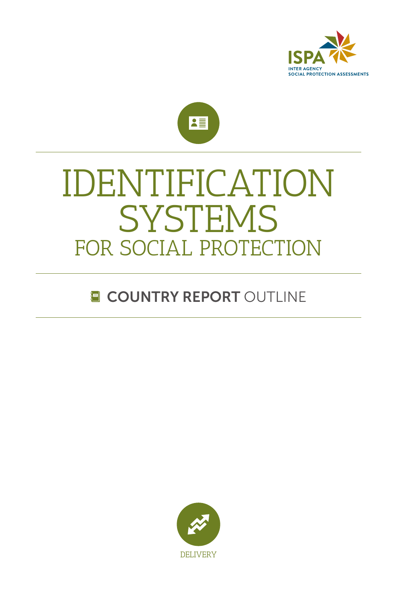



# **SYSTEMS** FOR SOCIAL PROTECTION IDENTIFICATION

## **E COUNTRY REPORT OUTLINE**

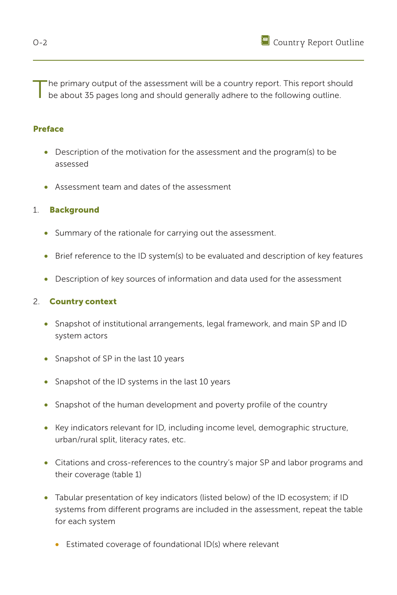The primary output of the assessment will be a country report. This report should<br>be about 35 pages long and should generally adhere to the following outline.

#### Preface

- Description of the motivation for the assessment and the program(s) to be assessed
- Assessment team and dates of the assessment

#### 1. Background

- Summary of the rationale for carrying out the assessment.
- Brief reference to the ID system(s) to be evaluated and description of key features
- Description of key sources of information and data used for the assessment

#### 2. Country context

- Snapshot of institutional arrangements, legal framework, and main SP and ID system actors
- Snapshot of SP in the last 10 years
- Snapshot of the ID systems in the last 10 years
- Snapshot of the human development and poverty profile of the country
- Key indicators relevant for ID, including income level, demographic structure, urban/rural split, literacy rates, etc.
- Citations and cross-references to the country's major SP and labor programs and their coverage (table 1)
- Tabular presentation of key indicators (listed below) of the ID ecosystem; if ID systems from different programs are included in the assessment, repeat the table for each system
	- Estimated coverage of foundational ID(s) where relevant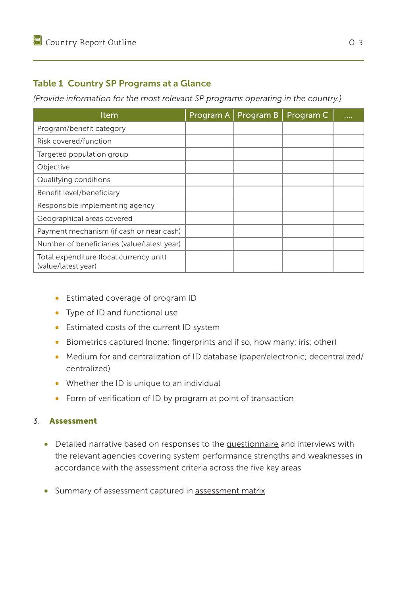### Table 1 Country SP Programs at a Glance

*(Provide information for the most relevant SP programs operating in the country.)*

| Item                                                           | Program A | Program B | Program C |  |
|----------------------------------------------------------------|-----------|-----------|-----------|--|
| Program/benefit category                                       |           |           |           |  |
| Risk covered/function                                          |           |           |           |  |
| Targeted population group                                      |           |           |           |  |
| Objective                                                      |           |           |           |  |
| Qualifying conditions                                          |           |           |           |  |
| Benefit level/beneficiary                                      |           |           |           |  |
| Responsible implementing agency                                |           |           |           |  |
| Geographical areas covered                                     |           |           |           |  |
| Payment mechanism (if cash or near cash)                       |           |           |           |  |
| Number of beneficiaries (value/latest year)                    |           |           |           |  |
| Total expenditure (local currency unit)<br>(value/latest year) |           |           |           |  |

- Estimated coverage of program ID
- Type of ID and functional use
- Estimated costs of the current ID system
- Biometrics captured (none; fingerprints and if so, how many; iris; other)
- Medium for and centralization of ID database (paper/electronic; decentralized/ centralized)
- Whether the ID is unique to an individual
- Form of verification of ID by program at point of transaction

#### 3. Assessment

- Detailed narrative based on responses to the [questionnaire](#page--1-0) and interviews with the relevant agencies covering system performance strengths and weaknesses in accordance with the assessment criteria across the five key areas
- Summary of assessment captured in [assessment matrix](#page--1-1)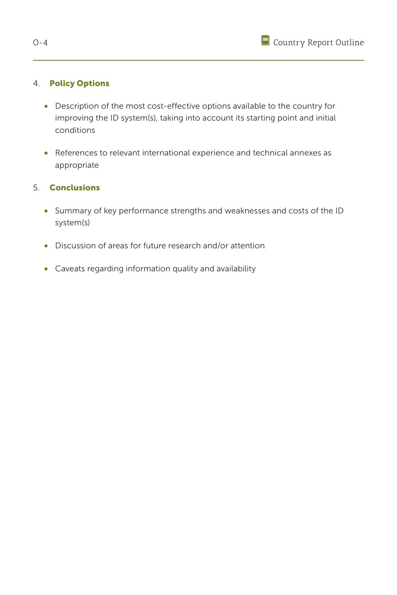

#### 4. Policy Options

- Description of the most cost-effective options available to the country for improving the ID system(s), taking into account its starting point and initial conditions
- References to relevant international experience and technical annexes as appropriate

#### 5. Conclusions

- Summary of key performance strengths and weaknesses and costs of the ID system(s)
- Discussion of areas for future research and/or attention
- Caveats regarding information quality and availability